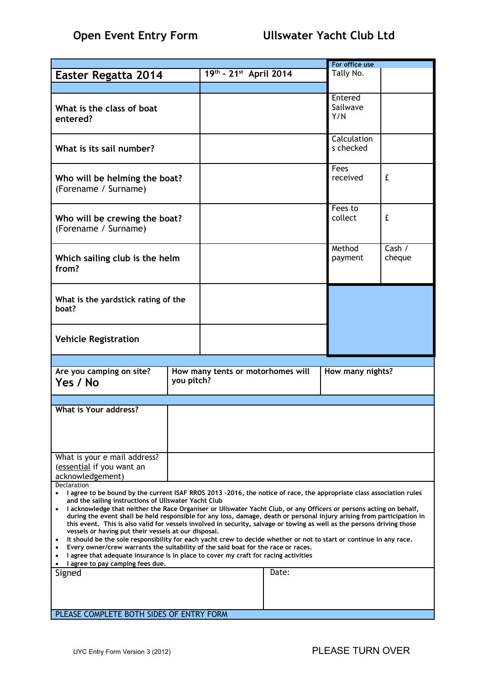|                                                                                                                                                                                                                                                                                                                                                                                                                                                                                                                                                                                                                                                                                                                                                                                                                                                                                                                                                                                                                  |                                                 |                             |                   | For office use             |   |  |
|------------------------------------------------------------------------------------------------------------------------------------------------------------------------------------------------------------------------------------------------------------------------------------------------------------------------------------------------------------------------------------------------------------------------------------------------------------------------------------------------------------------------------------------------------------------------------------------------------------------------------------------------------------------------------------------------------------------------------------------------------------------------------------------------------------------------------------------------------------------------------------------------------------------------------------------------------------------------------------------------------------------|-------------------------------------------------|-----------------------------|-------------------|----------------------------|---|--|
| Easter Regatta 2014                                                                                                                                                                                                                                                                                                                                                                                                                                                                                                                                                                                                                                                                                                                                                                                                                                                                                                                                                                                              |                                                 | $19^{th}$ - 21st April 2014 |                   | Tally No.                  |   |  |
|                                                                                                                                                                                                                                                                                                                                                                                                                                                                                                                                                                                                                                                                                                                                                                                                                                                                                                                                                                                                                  |                                                 |                             |                   |                            |   |  |
| What is the class of boat<br>entered?                                                                                                                                                                                                                                                                                                                                                                                                                                                                                                                                                                                                                                                                                                                                                                                                                                                                                                                                                                            |                                                 |                             |                   | Entered<br>Sailwave<br>Y/N |   |  |
| What is its sail number?                                                                                                                                                                                                                                                                                                                                                                                                                                                                                                                                                                                                                                                                                                                                                                                                                                                                                                                                                                                         |                                                 |                             |                   | Calculation<br>s checked   |   |  |
| Who will be helming the boat?<br>(Forename / Surname)                                                                                                                                                                                                                                                                                                                                                                                                                                                                                                                                                                                                                                                                                                                                                                                                                                                                                                                                                            |                                                 |                             |                   | Fees<br>received           | £ |  |
| Who will be crewing the boat?<br>(Forename / Surname)                                                                                                                                                                                                                                                                                                                                                                                                                                                                                                                                                                                                                                                                                                                                                                                                                                                                                                                                                            |                                                 |                             |                   | Fees to<br>collect         | £ |  |
| Which sailing club is the helm<br>from?                                                                                                                                                                                                                                                                                                                                                                                                                                                                                                                                                                                                                                                                                                                                                                                                                                                                                                                                                                          |                                                 |                             | Method<br>payment | Cash $/$<br>cheque         |   |  |
| What is the yardstick rating of the<br>boat?                                                                                                                                                                                                                                                                                                                                                                                                                                                                                                                                                                                                                                                                                                                                                                                                                                                                                                                                                                     |                                                 |                             |                   |                            |   |  |
| <b>Vehicle Registration</b>                                                                                                                                                                                                                                                                                                                                                                                                                                                                                                                                                                                                                                                                                                                                                                                                                                                                                                                                                                                      |                                                 |                             |                   |                            |   |  |
| Are you camping on site?<br>Yes / No                                                                                                                                                                                                                                                                                                                                                                                                                                                                                                                                                                                                                                                                                                                                                                                                                                                                                                                                                                             | How many tents or motorhomes will<br>you pitch? |                             |                   | How many nights?           |   |  |
|                                                                                                                                                                                                                                                                                                                                                                                                                                                                                                                                                                                                                                                                                                                                                                                                                                                                                                                                                                                                                  |                                                 |                             |                   |                            |   |  |
| What is Your address?                                                                                                                                                                                                                                                                                                                                                                                                                                                                                                                                                                                                                                                                                                                                                                                                                                                                                                                                                                                            |                                                 |                             |                   |                            |   |  |
| What is your e mail address?<br>(essential if you want an<br>acknowledgement)                                                                                                                                                                                                                                                                                                                                                                                                                                                                                                                                                                                                                                                                                                                                                                                                                                                                                                                                    |                                                 |                             |                   |                            |   |  |
| Declaration<br>I agree to be bound by the current ISAF RROS 2013 -2016, the notice of race, the appropriate class association rules<br>$\bullet$<br>and the sailing instructions of Ullswater Yacht Club<br>I acknowledge that neither the Race Organiser or Ullswater Yacht Club, or any Officers or persons acting on behalf,<br>$\bullet$<br>during the event shall be held responsible for any loss, damage, death or personal injury arising from participation in<br>this event. This is also valid for vessels involved in security, salvage or towing as well as the persons driving those<br>vessels or having put their vessels at our disposal.<br>It should be the sole responsibility for each yacht crew to decide whether or not to start or continue in any race.<br>٠<br>Every owner/crew warrants the suitability of the said boat for the race or races.<br>٠<br>I agree that adequate insurance is in place to cover my craft for racing activities<br>٠<br>I agree to pay camping fees due. |                                                 |                             |                   |                            |   |  |
| Signed                                                                                                                                                                                                                                                                                                                                                                                                                                                                                                                                                                                                                                                                                                                                                                                                                                                                                                                                                                                                           |                                                 |                             | Date:             |                            |   |  |
| PLEASE COMPLETE BOTH SIDES OF ENTRY FORM                                                                                                                                                                                                                                                                                                                                                                                                                                                                                                                                                                                                                                                                                                                                                                                                                                                                                                                                                                         |                                                 |                             |                   |                            |   |  |